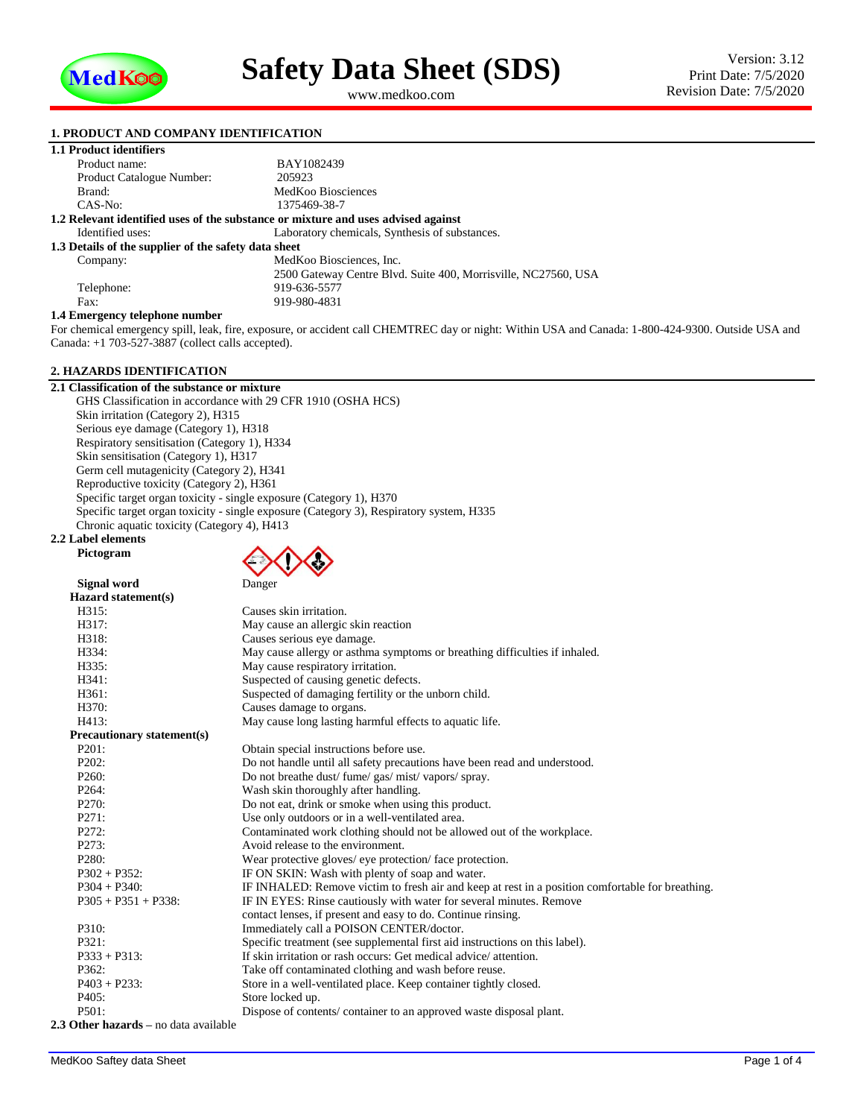

<span id="page-0-1"></span><span id="page-0-0"></span>www.medkoo.com

# **1. PRODUCT AND COMPANY IDENTIFICATION**

| 1.1 Product identifiers                              |                                                                                   |
|------------------------------------------------------|-----------------------------------------------------------------------------------|
| Product name:                                        | BAY1082439                                                                        |
| Product Catalogue Number:                            | 205923                                                                            |
| Brand:                                               | MedKoo Biosciences                                                                |
| CAS-No:                                              | 1375469-38-7                                                                      |
|                                                      | 1.2 Relevant identified uses of the substance or mixture and uses advised against |
| Identified uses:                                     | Laboratory chemicals, Synthesis of substances.                                    |
| 1.3 Details of the supplier of the safety data sheet |                                                                                   |
| Company:                                             | MedKoo Biosciences, Inc.                                                          |
|                                                      | 2500 Gateway Centre Blvd. Suite 400, Morrisville, NC27560, USA                    |
| Telephone:                                           | 919-636-5577                                                                      |
| Fax:                                                 | 919-980-4831                                                                      |
| 1.4 Emergency telephone number                       |                                                                                   |

### **1.4 Emergency telephone number**

For chemical emergency spill, leak, fire, exposure, or accident call CHEMTREC day or night: Within USA and Canada: 1-800-424-9300. Outside USA and Canada: +1 703-527-3887 (collect calls accepted).

# **2. HAZARDS IDENTIFICATION**

**2.1 Classification of the substance or mixture** GHS Classification in accordance with 29 CFR 1910 (OSHA HCS) Skin irritation (Category 2), H315 Serious eye damage (Category 1), H318 Respiratory sensitisation (Category 1), H334 Skin sensitisation (Category 1), H317 Germ cell mutagenicity (Category 2), H341 Reproductive toxicity (Category 2), H361 Specific target organ toxicity - single exposure (Category 1), H370 Specific target organ toxicity - single exposure (Category 3), Respiratory system, H335 Chronic aquatic toxicity (Category 4), H413

### **2.2 Label elements Pictogram**



|                                  | $\mathbf{v}$                                                                                     |
|----------------------------------|--------------------------------------------------------------------------------------------------|
| Signal word                      | Danger                                                                                           |
| Hazard statement(s)              |                                                                                                  |
| H315:                            | Causes skin irritation.                                                                          |
| H317:                            | May cause an allergic skin reaction                                                              |
| H318:                            | Causes serious eye damage.                                                                       |
| H334:                            | May cause allergy or asthma symptoms or breathing difficulties if inhaled.                       |
| H335:                            | May cause respiratory irritation.                                                                |
| H341:                            | Suspected of causing genetic defects.                                                            |
| H361:                            | Suspected of damaging fertility or the unborn child.                                             |
| H370:                            | Causes damage to organs.                                                                         |
| H413:                            | May cause long lasting harmful effects to aquatic life.                                          |
| Precautionary statement(s)       |                                                                                                  |
| P <sub>201</sub> :               | Obtain special instructions before use.                                                          |
| P202:                            | Do not handle until all safety precautions have been read and understood.                        |
| P <sub>260</sub> :               | Do not breathe dust/fume/gas/mist/vapors/spray.                                                  |
| P <sub>264</sub> :               | Wash skin thoroughly after handling.                                                             |
| P270:                            | Do not eat, drink or smoke when using this product.                                              |
| P271:                            | Use only outdoors or in a well-ventilated area.                                                  |
| P272:                            | Contaminated work clothing should not be allowed out of the workplace.                           |
| P273:                            | Avoid release to the environment.                                                                |
| P <sub>280</sub> :               | Wear protective gloves/ eye protection/ face protection.                                         |
| $P302 + P352$ :                  | IF ON SKIN: Wash with plenty of soap and water.                                                  |
| $P304 + P340$ :                  | IF INHALED: Remove victim to fresh air and keep at rest in a position comfortable for breathing. |
| $P305 + P351 + P338$ :           | IF IN EYES: Rinse cautiously with water for several minutes. Remove                              |
|                                  | contact lenses, if present and easy to do. Continue rinsing.                                     |
| P310:                            | Immediately call a POISON CENTER/doctor.                                                         |
| P321:                            | Specific treatment (see supplemental first aid instructions on this label).                      |
| $P333 + P313$ :                  | If skin irritation or rash occurs: Get medical advice/attention.                                 |
| P362:                            | Take off contaminated clothing and wash before reuse.                                            |
| $P403 + P233$ :                  | Store in a well-ventilated place. Keep container tightly closed.                                 |
| P405:                            | Store locked up.                                                                                 |
| P501:                            | Dispose of contents/container to an approved waste disposal plant.                               |
| Othau hauauda — ua data amilahla |                                                                                                  |

# **2.3 Other hazards –** no data available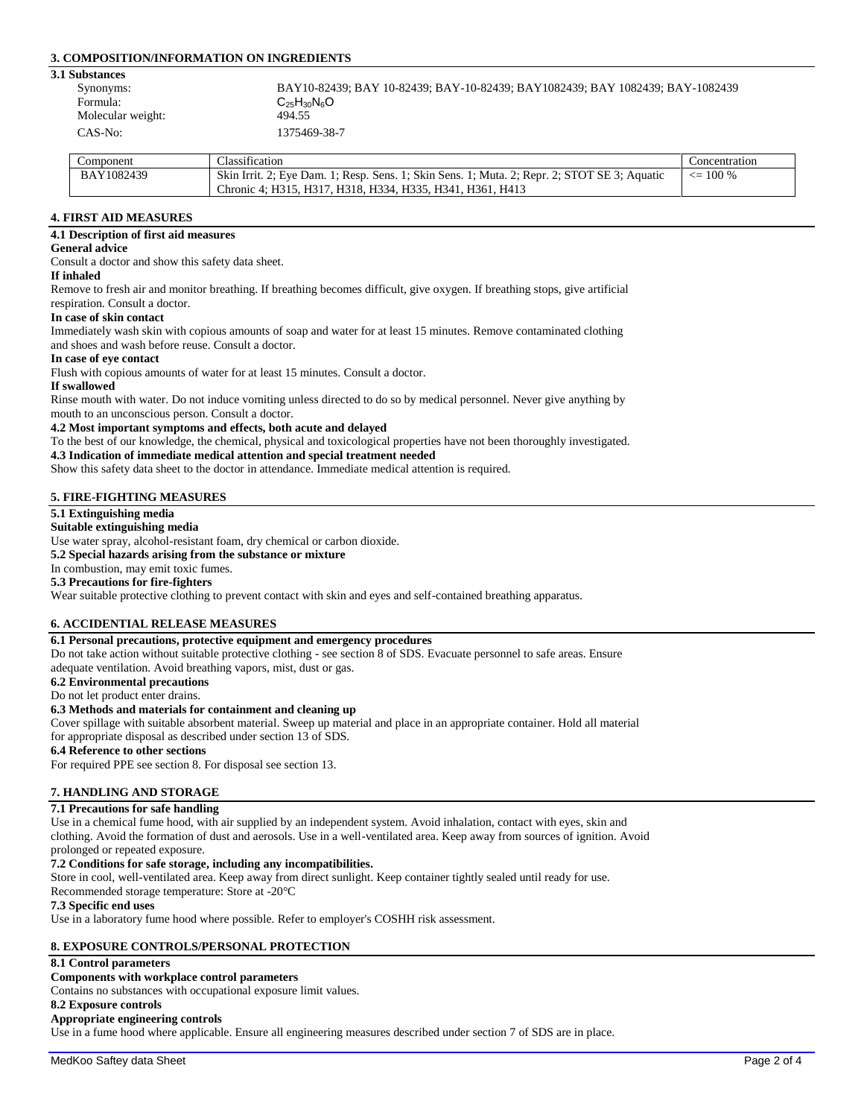# **3. COMPOSITION/INFORMATION ON INGREDIENTS**

#### **3.1 Substances**

| ,,,,,,,,,,,,,,    |                                                                               |
|-------------------|-------------------------------------------------------------------------------|
| Synonyms:         | BAY10-82439; BAY 10-82439; BAY-10-82439; BAY1082439; BAY 1082439; BAY-1082439 |
| Formula:          | $C_{25}H_{30}N_6O$                                                            |
| Molecular weight: | 494.55                                                                        |
| CAS-No:           | 1375469-38-7                                                                  |

| Component  | Classification                                                                               | Concentration |
|------------|----------------------------------------------------------------------------------------------|---------------|
| BAY1082439 | Skin Irrit. 2; Eye Dam. 1; Resp. Sens. 1; Skin Sens. 1; Muta. 2; Repr. 2; STOT SE 3; Aquatic | $\leq$ 100 %  |
|            | Chronic 4: H315. H317. H318. H334. H335. H341. H361. H413                                    |               |

# **4. FIRST AID MEASURES**

## **4.1 Description of first aid measures**

### **General advice**

Consult a doctor and show this safety data sheet.

### **If inhaled**

Remove to fresh air and monitor breathing. If breathing becomes difficult, give oxygen. If breathing stops, give artificial

#### respiration. Consult a doctor. **In case of skin contact**

Immediately wash skin with copious amounts of soap and water for at least 15 minutes. Remove contaminated clothing and shoes and wash before reuse. Consult a doctor.

#### **In case of eye contact**

Flush with copious amounts of water for at least 15 minutes. Consult a doctor.

#### **If swallowed**

Rinse mouth with water. Do not induce vomiting unless directed to do so by medical personnel. Never give anything by mouth to an unconscious person. Consult a doctor.

#### **4.2 Most important symptoms and effects, both acute and delayed**

To the best of our knowledge, the chemical, physical and toxicological properties have not been thoroughly investigated.

# **4.3 Indication of immediate medical attention and special treatment needed**

Show this safety data sheet to the doctor in attendance. Immediate medical attention is required.

# **5. FIRE-FIGHTING MEASURES**

# **5.1 Extinguishing media**

### **Suitable extinguishing media**

Use water spray, alcohol-resistant foam, dry chemical or carbon dioxide.

**5.2 Special hazards arising from the substance or mixture**

# In combustion, may emit toxic fumes.

**5.3 Precautions for fire-fighters**

Wear suitable protective clothing to prevent contact with skin and eyes and self-contained breathing apparatus.

# **6. ACCIDENTIAL RELEASE MEASURES**

# **6.1 Personal precautions, protective equipment and emergency procedures**

Do not take action without suitable protective clothing - see section 8 of SDS. Evacuate personnel to safe areas. Ensure adequate ventilation. Avoid breathing vapors, mist, dust or gas.

# **6.2 Environmental precautions**

Do not let product enter drains.

# **6.3 Methods and materials for containment and cleaning up**

Cover spillage with suitable absorbent material. Sweep up material and place in an appropriate container. Hold all material for appropriate disposal as described under section 13 of SDS.

# **6.4 Reference to other sections**

For required PPE see section 8. For disposal see section 13.

# **7. HANDLING AND STORAGE**

# **7.1 Precautions for safe handling**

Use in a chemical fume hood, with air supplied by an independent system. Avoid inhalation, contact with eyes, skin and clothing. Avoid the formation of dust and aerosols. Use in a well-ventilated area. Keep away from sources of ignition. Avoid prolonged or repeated exposure.

# **7.2 Conditions for safe storage, including any incompatibilities.**

Store in cool, well-ventilated area. Keep away from direct sunlight. Keep container tightly sealed until ready for use.

Recommended storage temperature: Store at -20°C

# **7.3 Specific end uses**

Use in a laboratory fume hood where possible. Refer to employer's COSHH risk assessment.

# **8. EXPOSURE CONTROLS/PERSONAL PROTECTION**

# **8.1 Control parameters**

# **Components with workplace control parameters**

Contains no substances with occupational exposure limit values.

#### **8.2 Exposure controls**

#### **Appropriate engineering controls**

Use in a fume hood where applicable. Ensure all engineering measures described under section 7 of SDS are in place.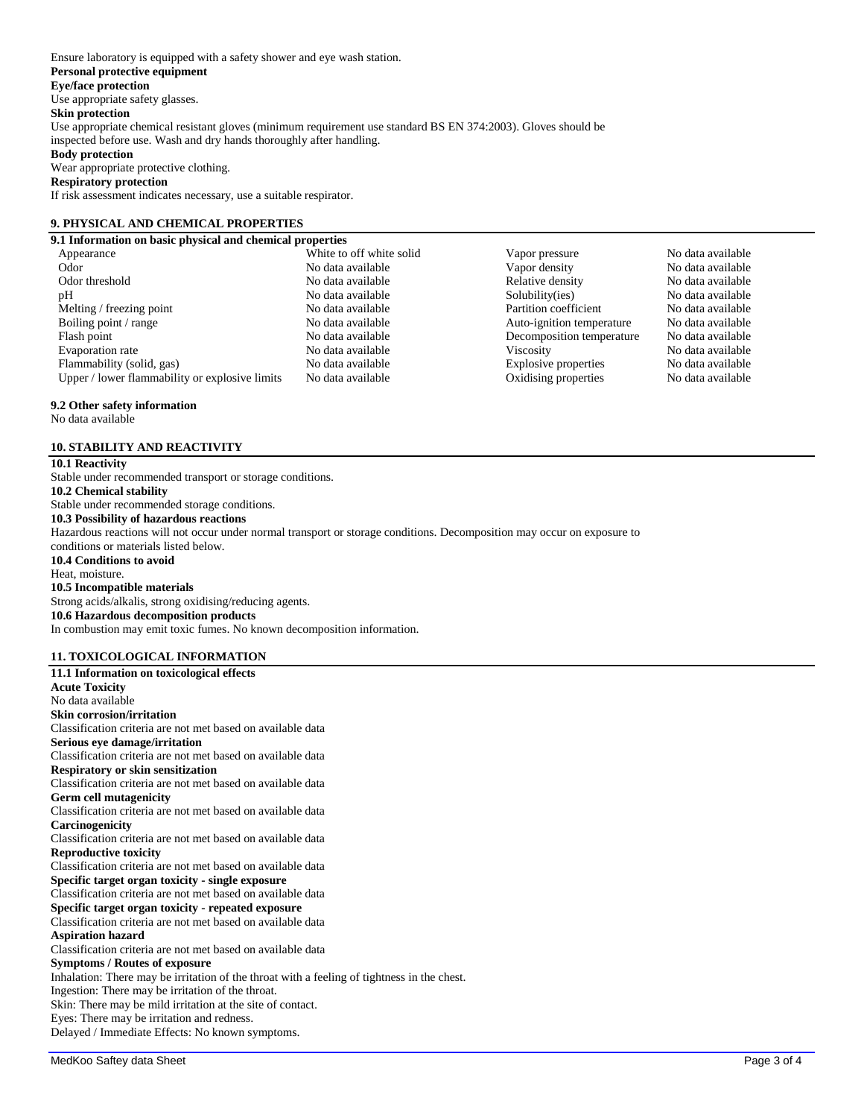Ensure laboratory is equipped with a safety shower and eye wash station. **Personal protective equipment Eye/face protection** Use appropriate safety glasses. **Skin protection** Use appropriate chemical resistant gloves (minimum requirement use standard BS EN 374:2003). Gloves should be inspected before use. Wash and dry hands thoroughly after handling. **Body protection** Wear appropriate protective clothing. **Respiratory protection** If risk assessment indicates necessary, use a suitable respirator.

# **9. PHYSICAL AND CHEMICAL PROPERTIES**

**9.1 Information on basic physical and chemical properties** Odor No data available No data available Vapor density No data available<br>
No data available No data available Nelative density No data available Odor threshold No data available<br>
No data available<br>
No data available<br>
No data available<br>
No data available<br>
No data available<br>
No data available<br>
No data available<br>
No data available<br>
No data available<br>
No data available No data available Melting / freezing point No data available Partition coefficient No data available Partition coefficient No data available Boiling point / range  $\blacksquare$  No data available  $\blacksquare$  Auto-ignition temperature  $\blacksquare$  No data available  $\blacksquare$  Hash point  $\blacksquare$  No data available  $\blacksquare$  No data available  $\blacksquare$ Flash point No data available No data available Decomposition temperature No data available Evaporation rate **No data available** No data available Viscosity No data available No data available Flammability (solid, gas) No data available Explosive properties No data available Upper / lower flammability or explosive limits No data available Cxidising properties No data available

# **9.2 Other safety information**

No data available

# **10. STABILITY AND REACTIVITY**

# **10.1 Reactivity**

Stable under recommended transport or storage conditions. **10.2 Chemical stability** Stable under recommended storage conditions. **10.3 Possibility of hazardous reactions** Hazardous reactions will not occur under normal transport or storage conditions. Decomposition may occur on exposure to conditions or materials listed below. **10.4 Conditions to avoid** Heat, moisture. **10.5 Incompatible materials** Strong acids/alkalis, strong oxidising/reducing agents. **10.6 Hazardous decomposition products** In combustion may emit toxic fumes. No known decomposition information.

# **11. TOXICOLOGICAL INFORMATION**

| 11.1 Information on toxicological effects                                                   |
|---------------------------------------------------------------------------------------------|
| <b>Acute Toxicity</b>                                                                       |
| No data available                                                                           |
| <b>Skin corrosion/irritation</b>                                                            |
| Classification criteria are not met based on available data                                 |
| Serious eye damage/irritation                                                               |
| Classification criteria are not met based on available data                                 |
| <b>Respiratory or skin sensitization</b>                                                    |
| Classification criteria are not met based on available data                                 |
| <b>Germ cell mutagenicity</b>                                                               |
| Classification criteria are not met based on available data                                 |
| Carcinogenicity                                                                             |
| Classification criteria are not met based on available data                                 |
| <b>Reproductive toxicity</b>                                                                |
| Classification criteria are not met based on available data                                 |
| Specific target organ toxicity - single exposure                                            |
| Classification criteria are not met based on available data                                 |
| Specific target organ toxicity - repeated exposure                                          |
| Classification criteria are not met based on available data                                 |
| <b>Aspiration hazard</b>                                                                    |
| Classification criteria are not met based on available data                                 |
| <b>Symptoms / Routes of exposure</b>                                                        |
| Inhalation: There may be irritation of the throat with a feeling of tightness in the chest. |
| Ingestion: There may be irritation of the throat.                                           |
| Skin: There may be mild irritation at the site of contact.                                  |
| Eyes: There may be irritation and redness.                                                  |
| Delayed / Immediate Effects: No known symptoms.                                             |

White to off white solid Vapor pressure No data available<br>
No data available<br>
No data available<br>
No data available<br>
No data available<br>
No data available